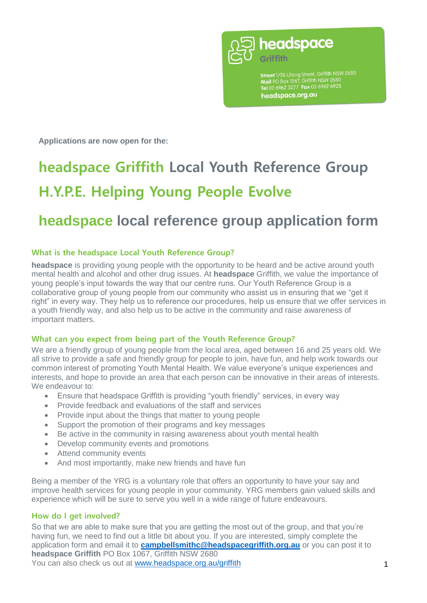

**Street** 1/26 Ulong Street, Griffith NSW 2680<br>**Mail** PO Box 1067, Griffith NSW 2680<br>**Tel** 02 6962 3277 **Fax** 02 6962 6925 headspace.org.au

**Applications are now open for the:** 

# **headspace Griffith Local Youth Reference Group H.Y.P.E. Helping Young People Evolve**

## **headspace local reference group application form**

#### **What is the headspace Local Youth Reference Group?**

**headspace** is providing young people with the opportunity to be heard and be active around youth mental health and alcohol and other drug issues. At **headspace** Griffith, we value the importance of young people's input towards the way that our centre runs. Our Youth Reference Group is a collaborative group of young people from our community who assist us in ensuring that we "get it right" in every way. They help us to reference our procedures, help us ensure that we offer services in a youth friendly way, and also help us to be active in the community and raise awareness of important matters.

#### **What can you expect from being part of the Youth Reference Group?**

We are a friendly group of young people from the local area, aged between 16 and 25 years old. We all strive to provide a safe and friendly group for people to join, have fun, and help work towards our common interest of promoting Youth Mental Health. We value everyone's unique experiences and interests, and hope to provide an area that each person can be innovative in their areas of interests. We endeavour to:

- Ensure that headspace Griffith is providing "youth friendly" services, in every way
- Provide feedback and evaluations of the staff and services
- Provide input about the things that matter to young people
- Support the promotion of their programs and key messages
- Be active in the community in raising awareness about youth mental health
- Develop community events and promotions
- Attend community events
- And most importantly, make new friends and have fun

Being a member of the YRG is a voluntary role that offers an opportunity to have your say and improve health services for young people in your community. YRG members gain valued skills and experience which will be sure to serve you well in a wide range of future endeavours.

#### **How do I get involved?**

So that we are able to make sure that you are getting the most out of the group, and that you're having fun, we need to find out a little bit about you. If you are interested, simply complete the application form and email it to **[campbellsmithc@headspacegriffith.org.au](mailto:campbellsmithc@headspacegriffith.org.au)** or you can post it to **headspace Griffith** PO Box 1067, Griffith NSW 2680 You can also check us out at [www.headspace.org.au/griffith](http://www.headspace.org.au/griffith)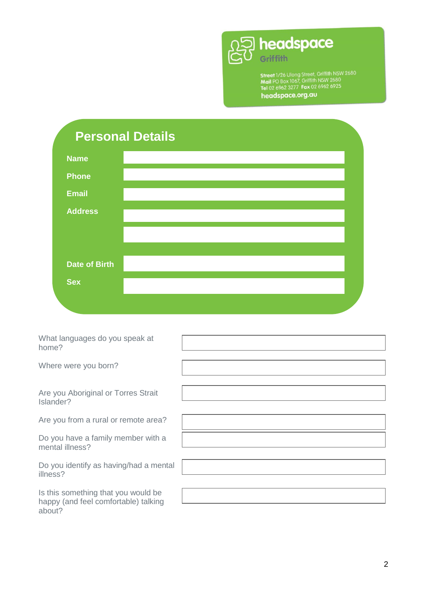

**Street** 1/26 Ulong Street, Griffith NSW 2680<br>**Mail** PO Box 1067, Griffith NSW 2680<br>**Tel** 02 6962 3277 **Fax** 02 6962 6925<br>**headspace.org.au** 

|                      | <b>Personal Details</b> |  |
|----------------------|-------------------------|--|
| <b>Name</b>          |                         |  |
| <b>Phone</b>         |                         |  |
| <b>Email</b>         |                         |  |
| <b>Address</b>       |                         |  |
|                      |                         |  |
| <b>Date of Birth</b> |                         |  |
| <b>Sex</b>           |                         |  |
|                      |                         |  |

| What languages do you speak at<br>home?                                               |  |
|---------------------------------------------------------------------------------------|--|
| Where were you born?                                                                  |  |
|                                                                                       |  |
| Are you Aboriginal or Torres Strait<br>Islander?                                      |  |
| Are you from a rural or remote area?                                                  |  |
| Do you have a family member with a<br>mental illness?                                 |  |
| Do you identify as having/had a mental<br>illness?                                    |  |
| Is this something that you would be<br>happy (and feel comfortable) talking<br>about? |  |